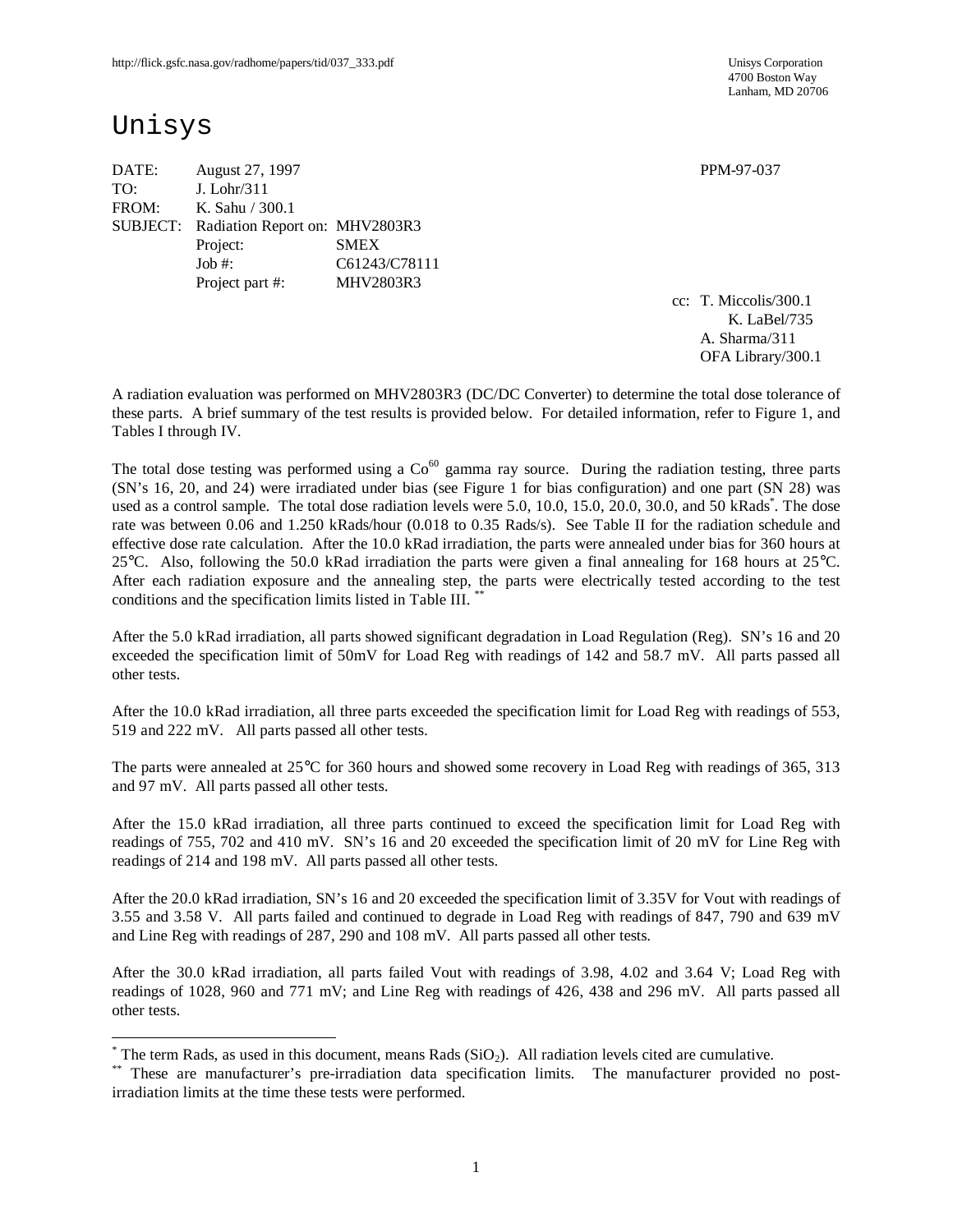# Unisys

 $\overline{a}$ 

| August 27, 1997 |                                | PPM-97-037                              |
|-----------------|--------------------------------|-----------------------------------------|
|                 |                                |                                         |
|                 |                                |                                         |
|                 |                                |                                         |
| Project:        | <b>SMEX</b>                    |                                         |
| Job $#$ :       | C61243/C78111                  |                                         |
| Project part #: | MHV2803R3                      |                                         |
|                 | J. Lohr/311<br>K. Sahu / 300.1 | SUBJECT: Radiation Report on: MHV2803R3 |

cc: T. Miccolis/300.1 K. LaBel/735 A. Sharma/311 OFA Library/300.1

A radiation evaluation was performed on MHV2803R3 (DC/DC Converter) to determine the total dose tolerance of these parts. A brief summary of the test results is provided below. For detailed information, refer to Figure 1, and Tables I through IV.

The total dose testing was performed using a  $Co<sup>60</sup>$  gamma ray source. During the radiation testing, three parts (SN's 16, 20, and 24) were irradiated under bias (see Figure 1 for bias configuration) and one part (SN 28) was used as a control sample. The total dose radiation levels were 5.0, 10.0, 15.0, 20.0, 30.0, and 50 kRads\*. The dose rate was between 0.06 and 1.250 kRads/hour (0.018 to 0.35 Rads/s). See Table II for the radiation schedule and effective dose rate calculation. After the 10.0 kRad irradiation, the parts were annealed under bias for 360 hours at 25°C. Also, following the 50.0 kRad irradiation the parts were given a final annealing for 168 hours at 25°C. After each radiation exposure and the annealing step, the parts were electrically tested according to the test conditions and the specification limits listed in Table III.<sup>\*</sup>

After the 5.0 kRad irradiation, all parts showed significant degradation in Load Regulation (Reg). SN's 16 and 20 exceeded the specification limit of 50mV for Load Reg with readings of 142 and 58.7 mV. All parts passed all other tests.

After the 10.0 kRad irradiation, all three parts exceeded the specification limit for Load Reg with readings of 553, 519 and 222 mV. All parts passed all other tests.

The parts were annealed at 25°C for 360 hours and showed some recovery in Load Reg with readings of 365, 313 and 97 mV. All parts passed all other tests.

After the 15.0 kRad irradiation, all three parts continued to exceed the specification limit for Load Reg with readings of 755, 702 and 410 mV. SN's 16 and 20 exceeded the specification limit of 20 mV for Line Reg with readings of 214 and 198 mV. All parts passed all other tests.

After the 20.0 kRad irradiation, SN's 16 and 20 exceeded the specification limit of 3.35V for Vout with readings of 3.55 and 3.58 V. All parts failed and continued to degrade in Load Reg with readings of 847, 790 and 639 mV and Line Reg with readings of 287, 290 and 108 mV. All parts passed all other tests.

After the 30.0 kRad irradiation, all parts failed Vout with readings of 3.98, 4.02 and 3.64 V; Load Reg with readings of 1028, 960 and 771 mV; and Line Reg with readings of 426, 438 and 296 mV. All parts passed all other tests.

 $*$  The term Rads, as used in this document, means Rads (SiO<sub>2</sub>). All radiation levels cited are cumulative.

<sup>\*\*</sup> These are manufacturer's pre-irradiation data specification limits. The manufacturer provided no postirradiation limits at the time these tests were performed.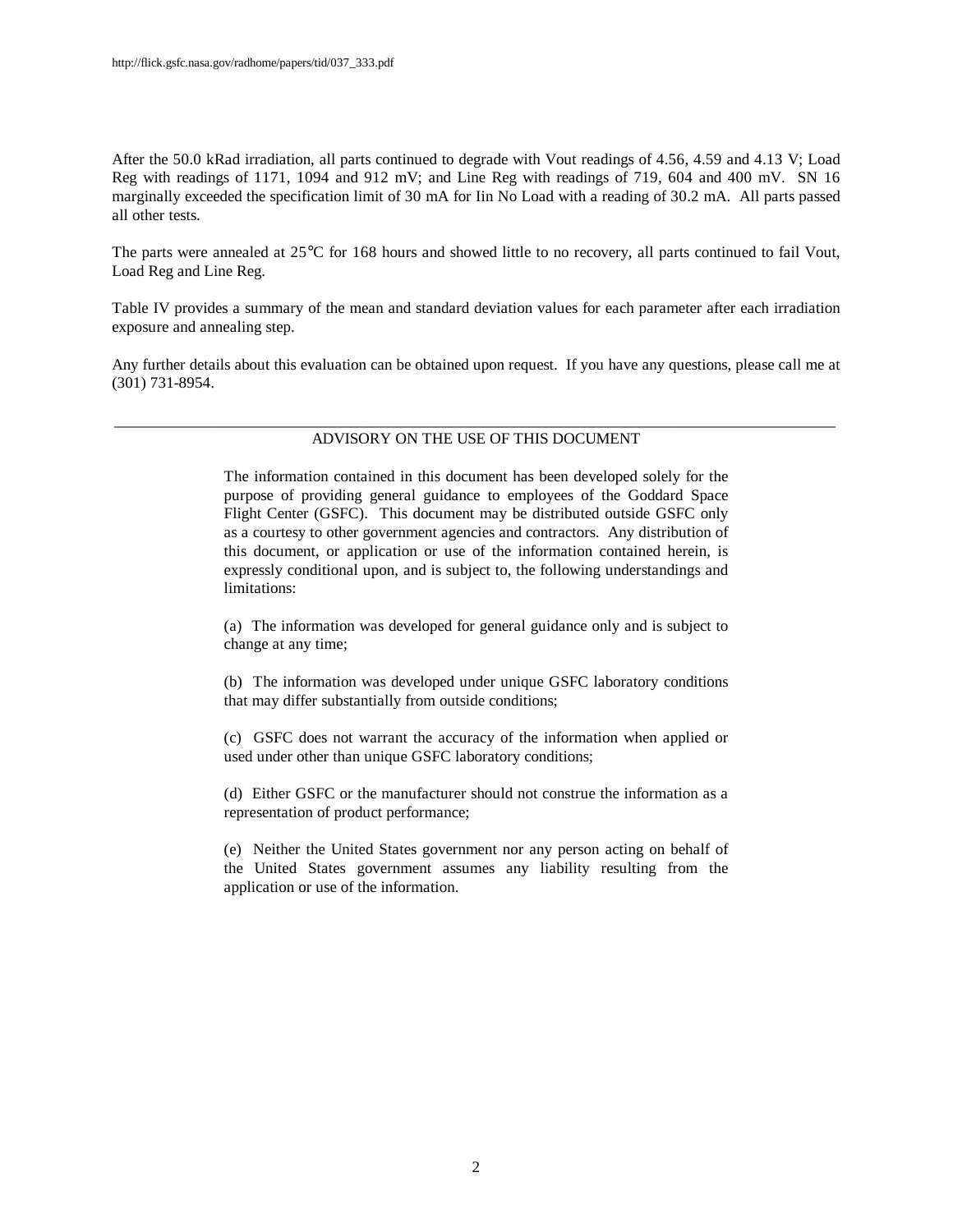After the 50.0 kRad irradiation, all parts continued to degrade with Vout readings of 4.56, 4.59 and 4.13 V; Load Reg with readings of 1171, 1094 and 912 mV; and Line Reg with readings of 719, 604 and 400 mV. SN 16 marginally exceeded the specification limit of 30 mA for Iin No Load with a reading of 30.2 mA. All parts passed all other tests.

The parts were annealed at 25°C for 168 hours and showed little to no recovery, all parts continued to fail Vout, Load Reg and Line Reg.

Table IV provides a summary of the mean and standard deviation values for each parameter after each irradiation exposure and annealing step.

Any further details about this evaluation can be obtained upon request. If you have any questions, please call me at (301) 731-8954.

#### \_\_\_\_\_\_\_\_\_\_\_\_\_\_\_\_\_\_\_\_\_\_\_\_\_\_\_\_\_\_\_\_\_\_\_\_\_\_\_\_\_\_\_\_\_\_\_\_\_\_\_\_\_\_\_\_\_\_\_\_\_\_\_\_\_\_\_\_\_\_\_\_\_\_\_\_\_\_\_\_\_\_\_\_\_\_\_\_\_\_\_\_ ADVISORY ON THE USE OF THIS DOCUMENT

The information contained in this document has been developed solely for the purpose of providing general guidance to employees of the Goddard Space Flight Center (GSFC). This document may be distributed outside GSFC only as a courtesy to other government agencies and contractors. Any distribution of this document, or application or use of the information contained herein, is expressly conditional upon, and is subject to, the following understandings and limitations:

(a) The information was developed for general guidance only and is subject to change at any time;

(b) The information was developed under unique GSFC laboratory conditions that may differ substantially from outside conditions;

(c) GSFC does not warrant the accuracy of the information when applied or used under other than unique GSFC laboratory conditions;

(d) Either GSFC or the manufacturer should not construe the information as a representation of product performance;

(e) Neither the United States government nor any person acting on behalf of the United States government assumes any liability resulting from the application or use of the information.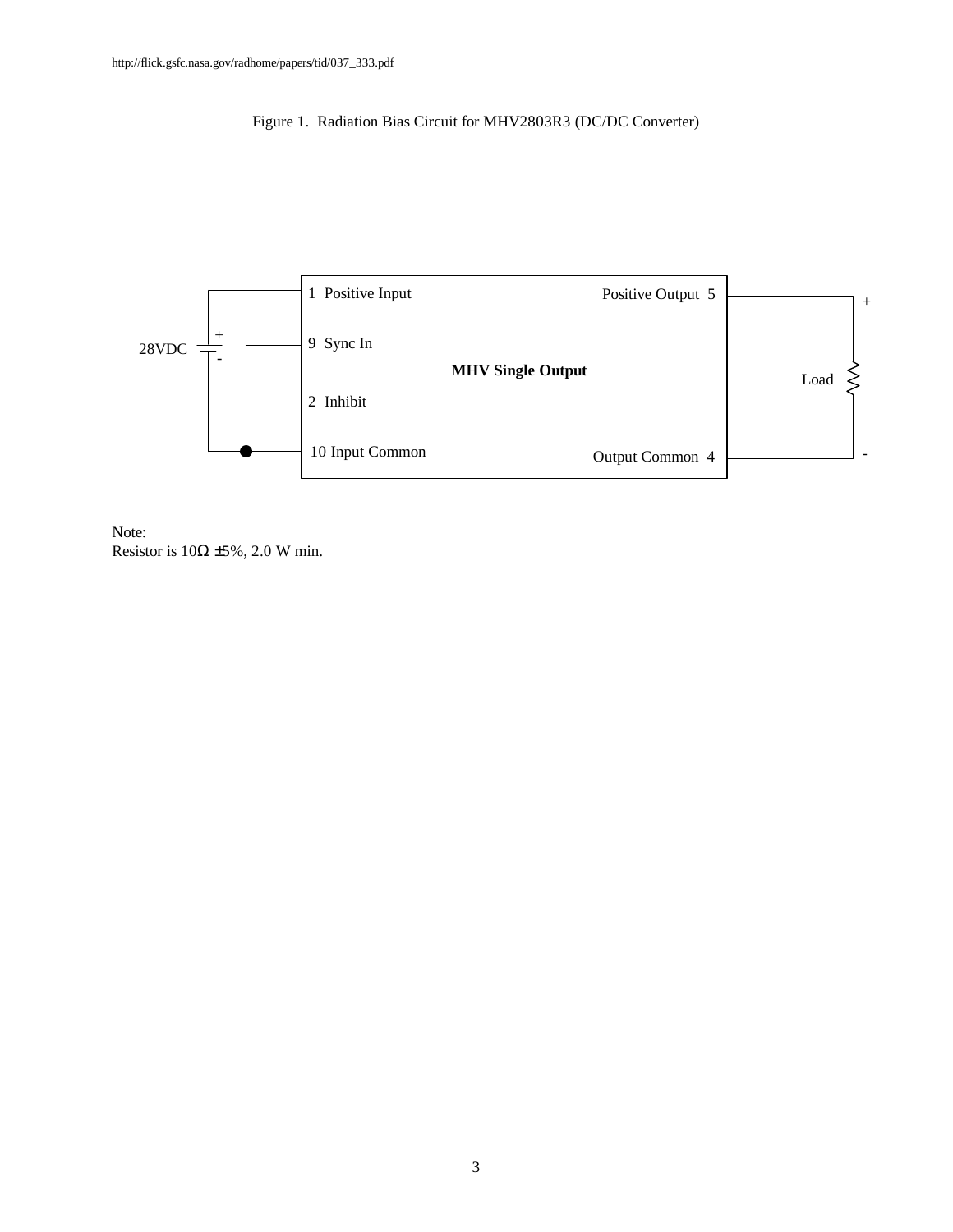## Figure 1. Radiation Bias Circuit for MHV2803R3 (DC/DC Converter)



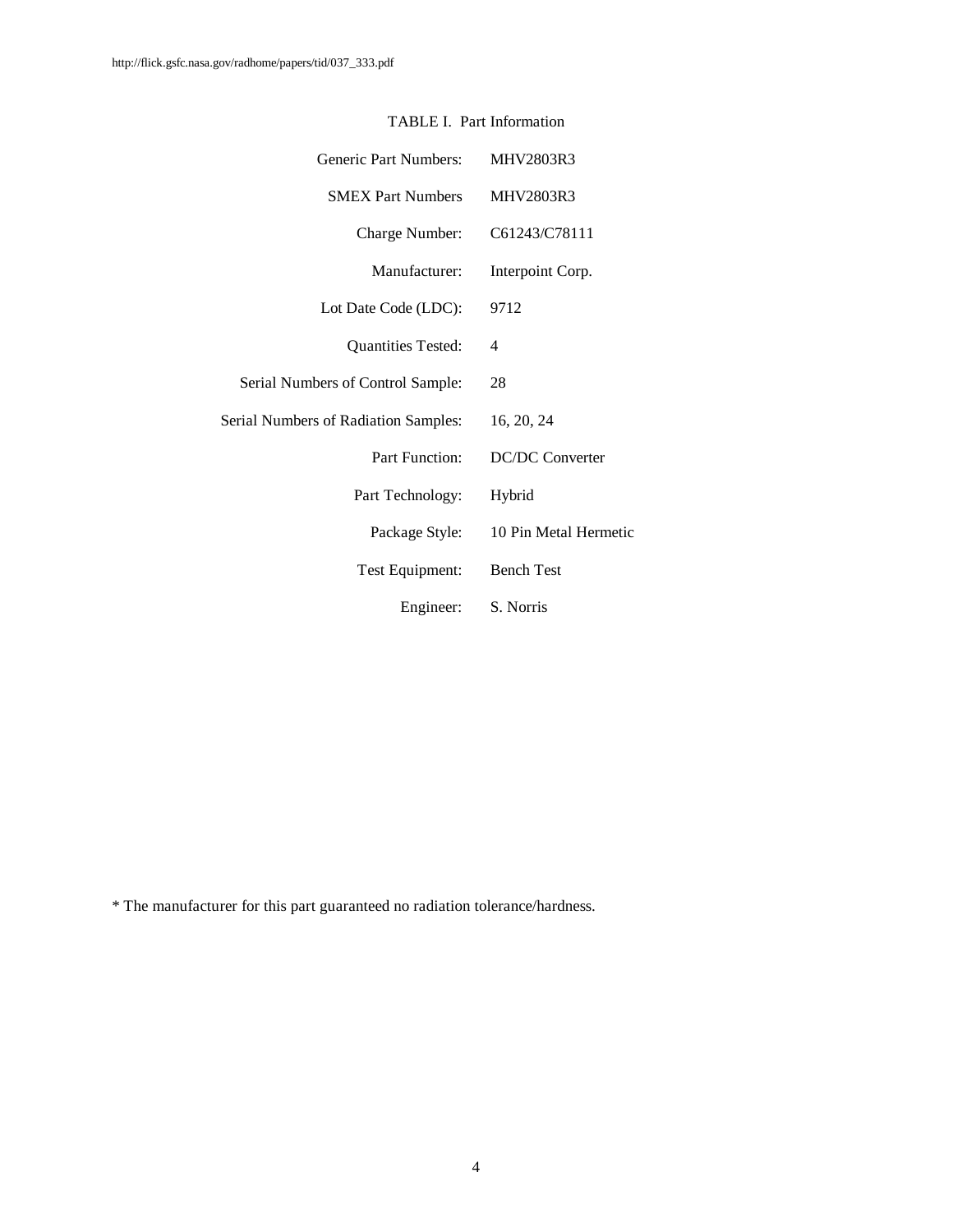| <b>Generic Part Numbers:</b>                | <b>MHV2803R3</b>       |
|---------------------------------------------|------------------------|
| <b>SMEX Part Numbers</b>                    | MHV2803R3              |
| Charge Number:                              | C61243/C78111          |
| Manufacturer:                               | Interpoint Corp.       |
| Lot Date Code (LDC):                        | 9712                   |
| <b>Quantities Tested:</b>                   | 4                      |
| Serial Numbers of Control Sample:           | 28                     |
| <b>Serial Numbers of Radiation Samples:</b> | 16, 20, 24             |
| Part Function:                              | <b>DC/DC Converter</b> |
| Part Technology:                            | Hybrid                 |
| Package Style:                              | 10 Pin Metal Hermetic  |
| Test Equipment:                             | <b>Bench Test</b>      |
| Engineer:                                   | S. Norris              |

### TABLE I. Part Information

\* The manufacturer for this part guaranteed no radiation tolerance/hardness.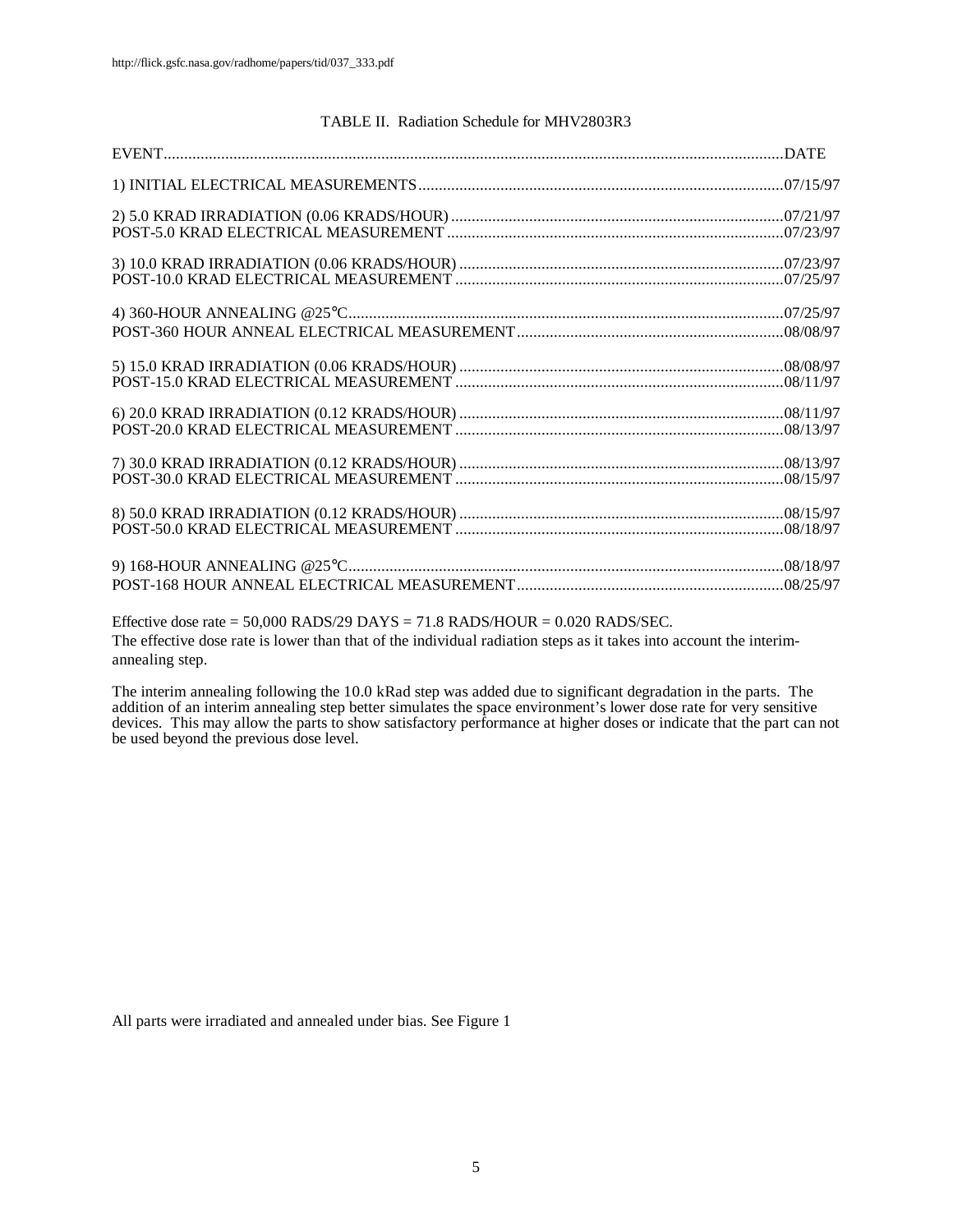#### TABLE II. Radiation Schedule for MHV2803R3

| <u> 2000 - 1900 - 1900 - 1900 - 1900 - 1900 - 1900 - 1900 - 1900 - 1900 - 1900 - 1900 - 1900 - 1900 - 1900 - 190</u> |  |
|----------------------------------------------------------------------------------------------------------------------|--|

Effective dose rate =  $50,000$  RADS/29 DAYS =  $71.8$  RADS/HOUR =  $0.020$  RADS/SEC. The effective dose rate is lower than that of the individual radiation steps as it takes into account the interimannealing step.

The interim annealing following the 10.0 kRad step was added due to significant degradation in the parts. The addition of an interim annealing step better simulates the space environment's lower dose rate for very sensitive devices. This may allow the parts to show satisfactory performance at higher doses or indicate that the part can not be used beyond the previous dose level.

All parts were irradiated and annealed under bias. See Figure 1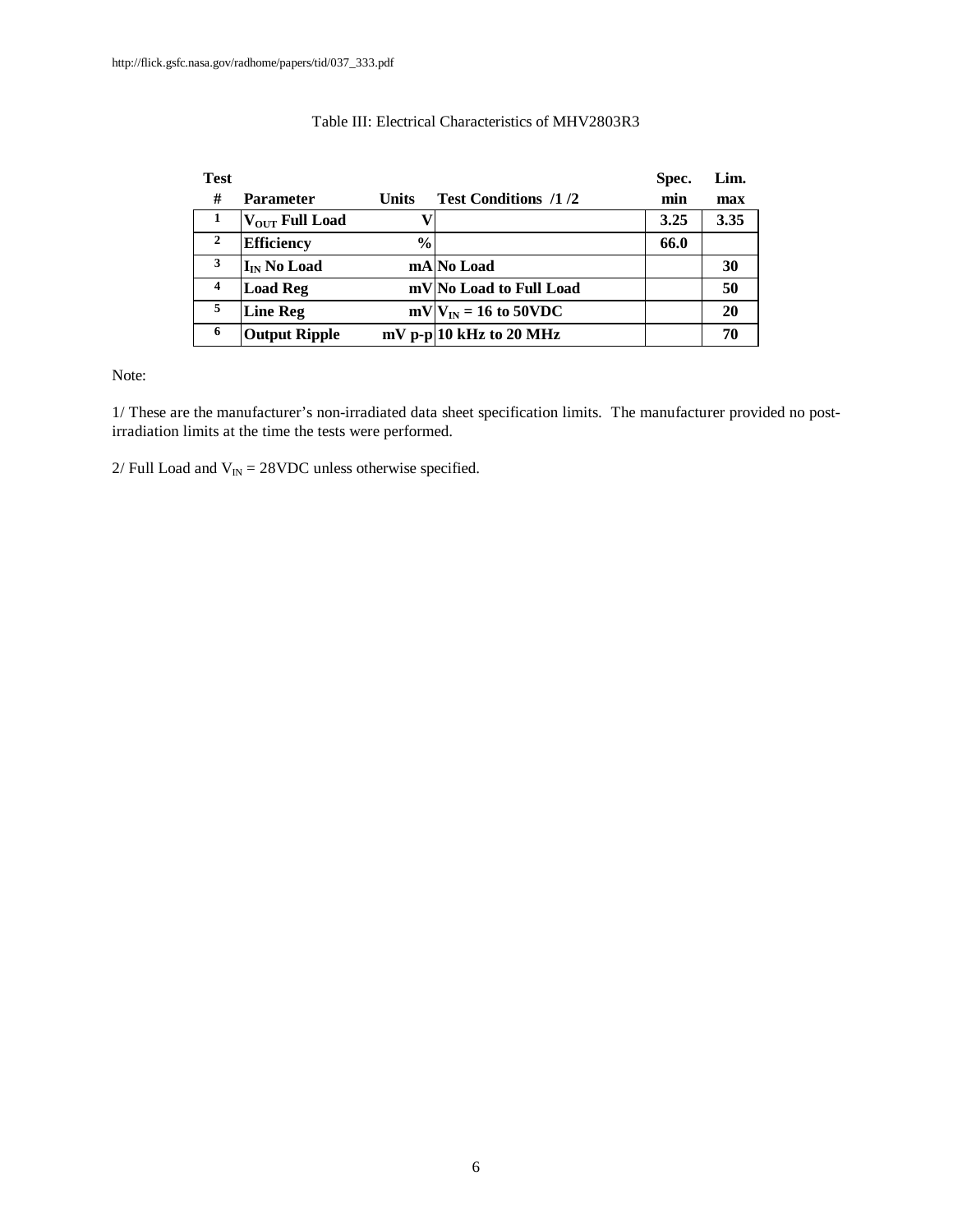| <b>Test</b>    |                            |               |                             | Spec. | Lim. |
|----------------|----------------------------|---------------|-----------------------------|-------|------|
| #              | Parameter                  | <b>Units</b>  | <b>Test Conditions /1/2</b> | min   | max  |
| -1             | V <sub>OUT</sub> Full Load |               |                             | 3.25  | 3.35 |
| $\overline{2}$ | <b>Efficiency</b>          | $\frac{6}{9}$ |                             | 66.0  |      |
| 3              | I <sub>IN</sub> No Load    |               | mA No Load                  |       | 30   |
| 4              | <b>Load Reg</b>            |               | mV No Load to Full Load     |       | 50   |
| 5              | <b>Line Reg</b>            |               | $mV V_{IN} = 16$ to 50VDC   |       | 20   |
| 6              | <b>Output Ripple</b>       |               | $mV$ p-p 10 kHz to 20 MHz   |       | 70   |

### Table III: Electrical Characteristics of MHV2803R3

Note:

1/ These are the manufacturer's non-irradiated data sheet specification limits. The manufacturer provided no postirradiation limits at the time the tests were performed.

2/ Full Load and  $V_{IN} = 28$ VDC unless otherwise specified.